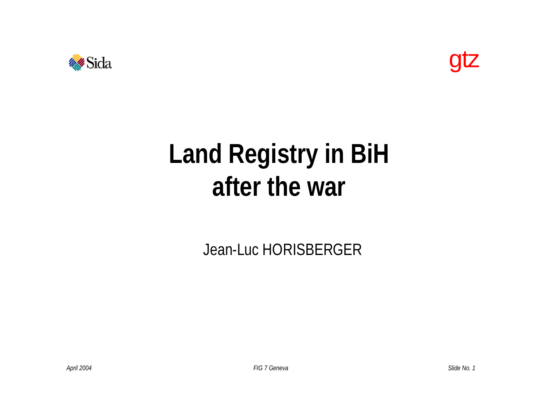



## **Land Registry in BiH after the war**

Jean-Luc HORISBERGER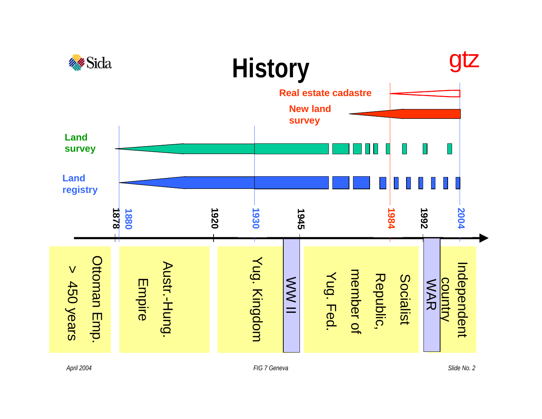

*April 2004 FIG 7 Geneva*

*Slide No. 2*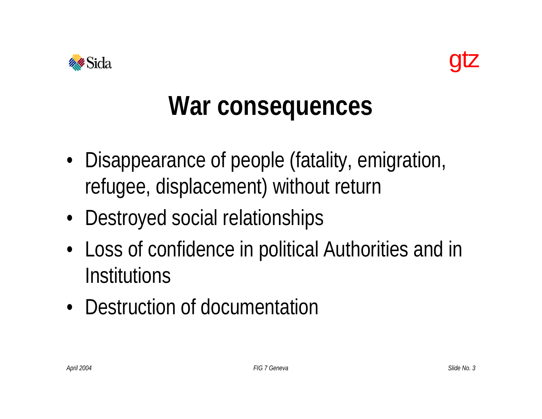



#### **War consequences**

- Disappearance of people (fatality, emigration, refugee, displacement) without return
- Destroyed social relationships
- Loss of confidence in political Authorities and in **Institutions**
- Destruction of documentation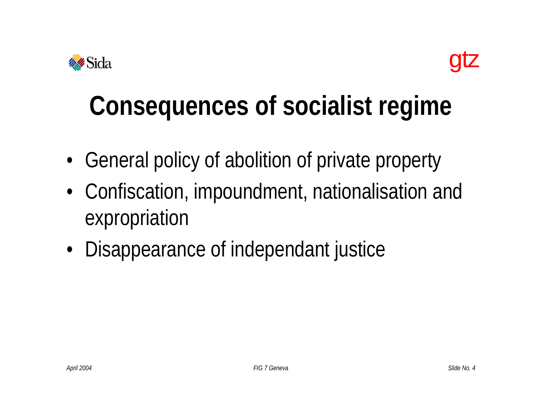



## **Consequences of socialist regime**

- General policy of abolition of private property
- Confiscation, impoundment, nationalisation and expropriation
- Disappearance of independant justice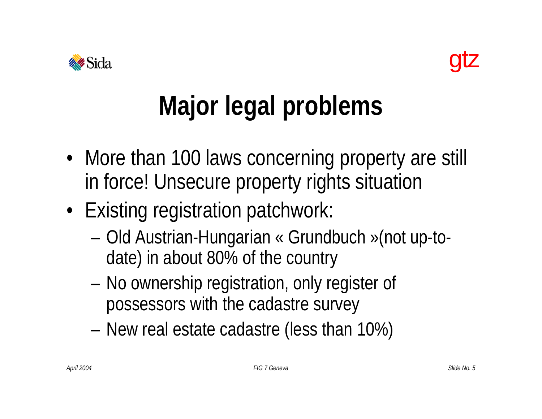



# **Major legal problems**

- More than 100 laws concerning property are still in force! Unsecure property rights situation
- Existing registration patchwork:
	- Old Austrian-Hungarian « Grundbuch »(not up-todate) in about 80% of the country
	- No ownership registration, only register of possessors with the cadastre survey
	- New real estate cadastre (less than 10%)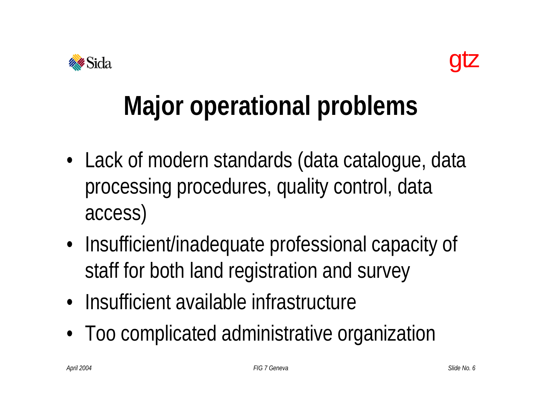



## **Major operational problems**

- Lack of modern standards (data catalogue, data processing procedures, quality control, data access)
- Insufficient/inadequate professional capacity of staff for both land registration and survey
- Insufficient available infrastructure
- Too complicated administrative organization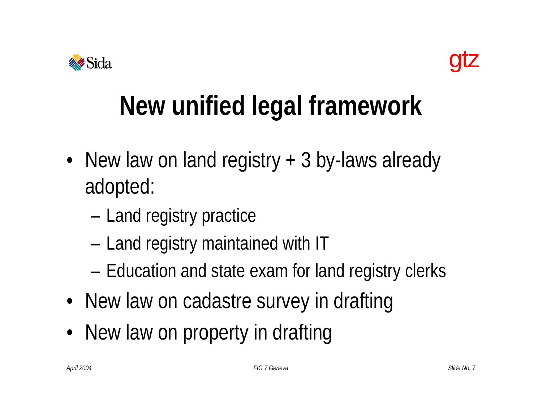



## **New unified legal framework**

- New law on land registry + 3 by-laws already adopted:
	- Land registry practice
	- Land registry maintained with IT
	- Education and state exam for land registry clerks
- New law on cadastre survey in drafting
- New law on property in drafting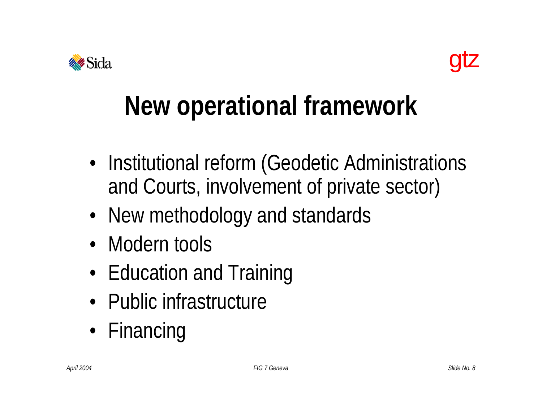



## **New operational framework**

- Institutional reform (Geodetic Administrations and Courts, involvement of private sector)
- New methodology and standards
- Modern tools
- Education and Training
- Public infrastructure
- Financing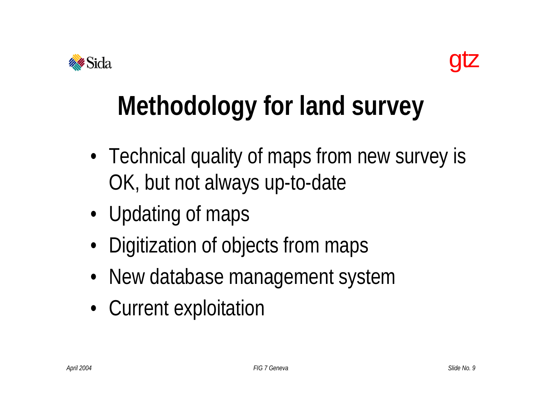



# **Methodology for land survey**

- Technical quality of maps from new survey is OK, but not always up-to-date
- Updating of maps
- Digitization of objects from maps
- New database management system
- Current exploitation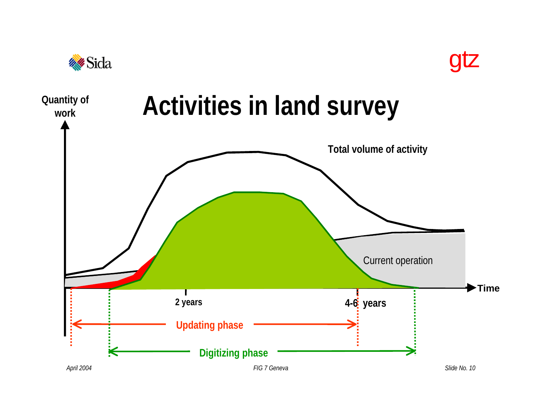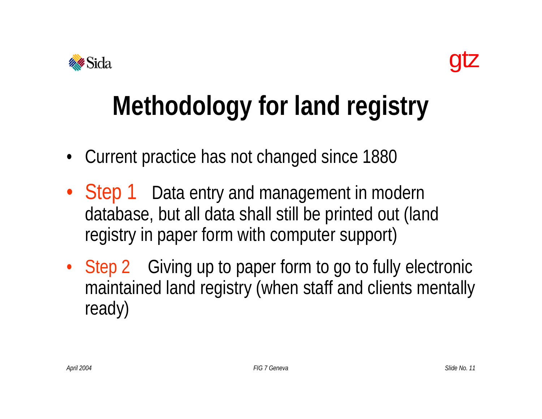



# **Methodology for land registry**

- Current practice has not changed since 1880
- Step 1 Data entry and management in modern database, but all data shall still be printed out (land registry in paper form with computer support)
- Step 2 Giving up to paper form to go to fully electronic maintained land registry (when staff and clients mentally ready)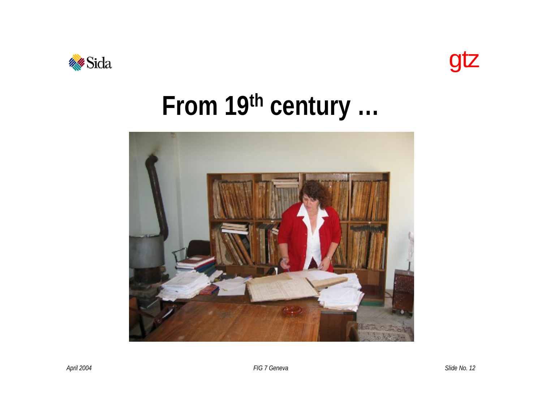



## From 19th century ...



FIG 7 Geneva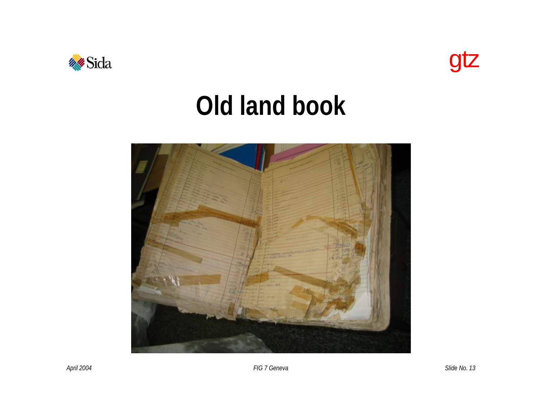



#### **Old land book**



*April 2004 FIG 7 Geneva*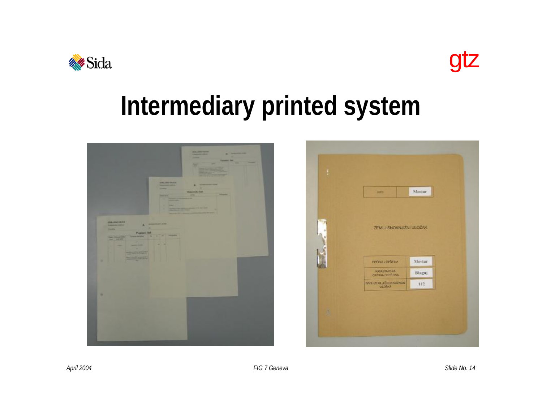



#### **Intermediary printed system**

|                                                                                                                                        | of the company's state of the<br>星军                                               |
|----------------------------------------------------------------------------------------------------------------------------------------|-----------------------------------------------------------------------------------|
|                                                                                                                                        | <b>CHURCH HATA</b><br><b>Allena</b><br><b>Support Follows</b><br><b>TERRITORY</b> |
| Papiert Bat<br><b>STATISTICS</b><br>$\frac{1}{\sqrt{1-\frac{1}{2}}}\left( \frac{1}{\sqrt{1-\frac{1}{2}}}\right) ^{2}$<br>$\frac{1}{2}$ |                                                                                   |
| ٠                                                                                                                                      |                                                                                   |

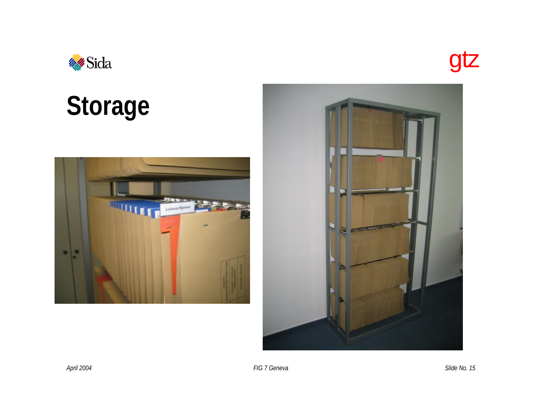



# **Storage**



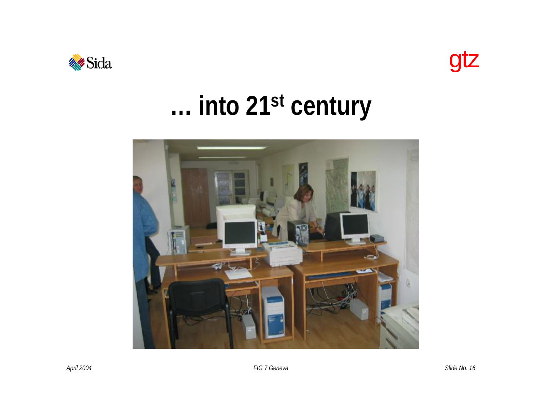



## ... into 21st century

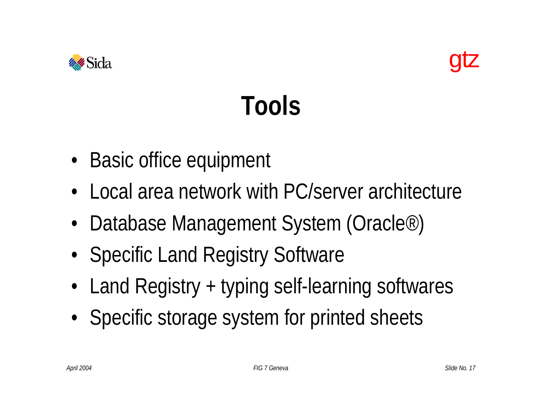



## **Tools**

- Basic office equipment
- Local area network with PC/server architecture
- Database Management System (Oracle*®*)
- Specific Land Registry Software
- Land Registry + typing self-learning softwares
- Specific storage system for printed sheets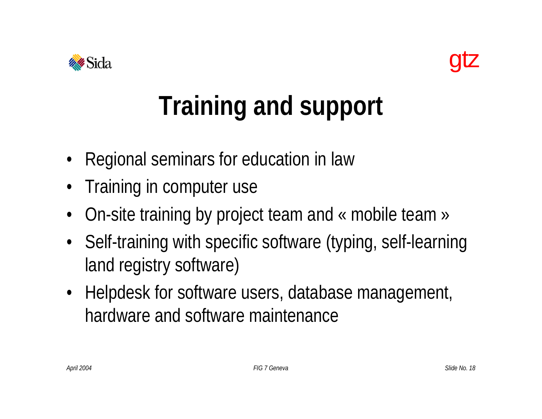



# **Training and support**

- Regional seminars for education in law
- Training in computer use
- On-site training by project team and « mobile team »
- Self-training with specific software (typing, self-learning land registry software)
- Helpdesk for software users, database management, hardware and software maintenance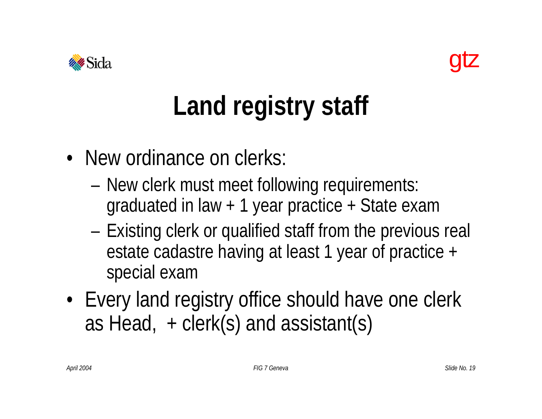



# **Land registry staff**

- New ordinance on clerks:
	- New clerk must meet following requirements: graduated in law + 1 year practice + State exam
	- Existing clerk or qualified staff from the previous real estate cadastre having at least 1 year of practice + special exam
- Every land registry office should have one clerk as Head,  $+$  clerk(s) and assistant(s)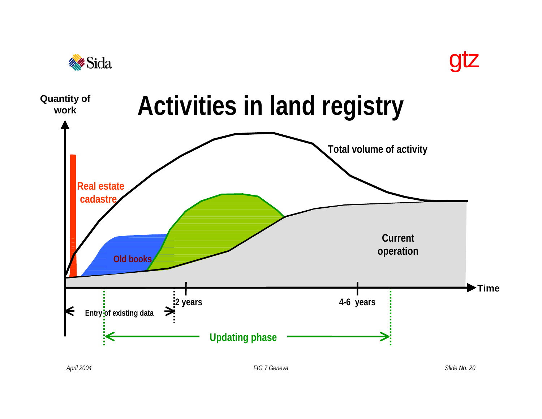

*April 2004 FIG 7 Geneva*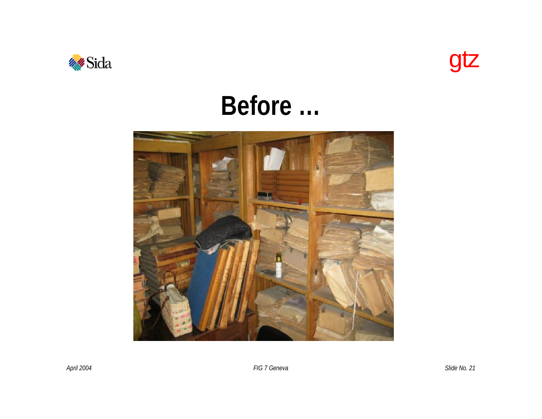



#### Before ...



FIG 7 Geneva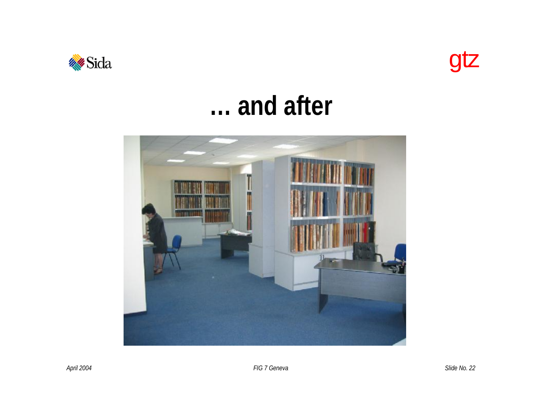



#### ... and after

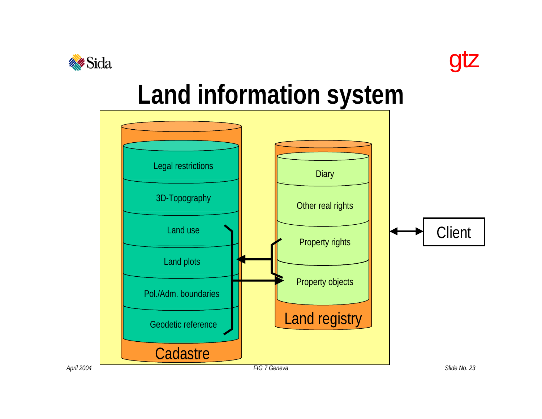



#### **Land information system**